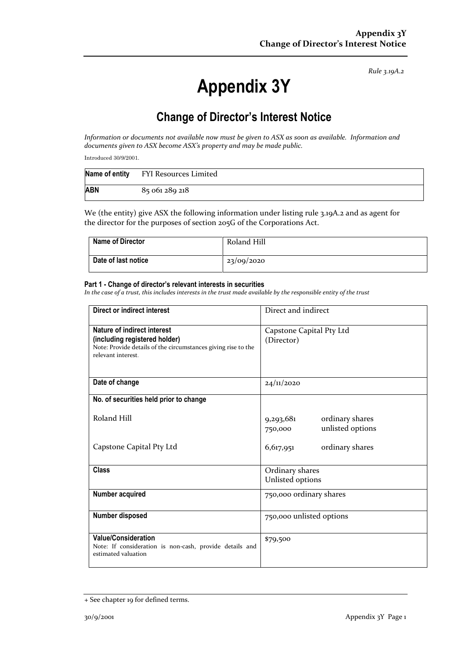# **Appendix 3Y**

## **Change of Director's Interest Notice**

*Information or documents not available now must be given to ASX as soon as available. Information and documents given to ASX become ASX's property and may be made public.*

Introduced 30/9/2001.

| Name of entity | FYI Resources Limited |
|----------------|-----------------------|
| <b>ABN</b>     | 85 061 289 218        |

We (the entity) give ASX the following information under listing rule 3.19A.2 and as agent for the director for the purposes of section 205G of the Corporations Act.

| <b>Name of Director</b> | Roland Hill |
|-------------------------|-------------|
| Date of last notice     | 23/09/2020  |

#### **Part 1 - Change of director's relevant interests in securities**

| <b>Direct or indirect interest</b>                                                                                                                  | Direct and indirect                                         |  |
|-----------------------------------------------------------------------------------------------------------------------------------------------------|-------------------------------------------------------------|--|
| Nature of indirect interest<br>(including registered holder)<br>Note: Provide details of the circumstances giving rise to the<br>relevant interest. | Capstone Capital Pty Ltd<br>(Director)                      |  |
| Date of change                                                                                                                                      | 24/11/2020                                                  |  |
| No. of securities held prior to change                                                                                                              |                                                             |  |
| Roland Hill                                                                                                                                         | 9,293,681<br>ordinary shares<br>unlisted options<br>750,000 |  |
| Capstone Capital Pty Ltd                                                                                                                            | ordinary shares<br>6,617,951                                |  |
| <b>Class</b>                                                                                                                                        | Ordinary shares<br>Unlisted options                         |  |
| Number acquired                                                                                                                                     | 750,000 ordinary shares                                     |  |
| Number disposed                                                                                                                                     | 750,000 unlisted options                                    |  |
| <b>Value/Consideration</b><br>Note: If consideration is non-cash, provide details and<br>estimated valuation                                        | \$79,500                                                    |  |

<sup>+</sup> See chapter 19 for defined terms.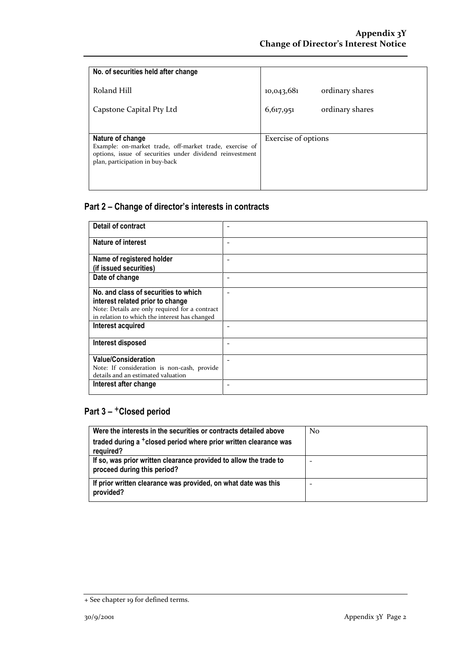| No. of securities held after change                                                                                                                                        |                     |                 |
|----------------------------------------------------------------------------------------------------------------------------------------------------------------------------|---------------------|-----------------|
| Roland Hill                                                                                                                                                                | 10,043,681          | ordinary shares |
| Capstone Capital Pty Ltd                                                                                                                                                   | 6,617,951           | ordinary shares |
|                                                                                                                                                                            |                     |                 |
| Nature of change<br>Example: on-market trade, off-market trade, exercise of<br>options, issue of securities under dividend reinvestment<br>plan, participation in buy-back | Exercise of options |                 |

| Detail of contract                                                                              |  |
|-------------------------------------------------------------------------------------------------|--|
| Nature of interest                                                                              |  |
| Name of registered holder                                                                       |  |
| (if issued securities)                                                                          |  |
| Date of change                                                                                  |  |
| No. and class of securities to which                                                            |  |
| interest related prior to change                                                                |  |
| Note: Details are only required for a contract<br>in relation to which the interest has changed |  |
| Interest acquired                                                                               |  |
| Interest disposed                                                                               |  |
| <b>Value/Consideration</b>                                                                      |  |
| Note: If consideration is non-cash, provide                                                     |  |
| details and an estimated valuation                                                              |  |
| Interest after change                                                                           |  |

| Were the interests in the securities or contracts detailed above                                 | N <sub>0</sub> |
|--------------------------------------------------------------------------------------------------|----------------|
| traded during a <sup>+</sup> closed period where prior written clearance was                     |                |
| required?                                                                                        |                |
| If so, was prior written clearance provided to allow the trade to<br>proceed during this period? |                |
| If prior written clearance was provided, on what date was this<br>provided?                      |                |

<sup>+</sup> See chapter 19 for defined terms.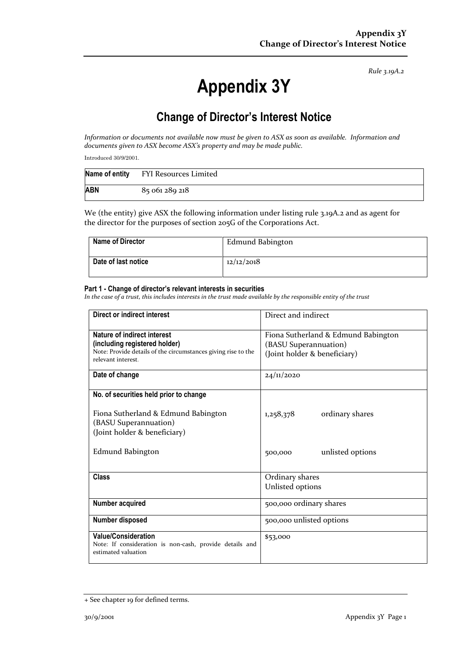# **Appendix 3Y**

## **Change of Director's Interest Notice**

*Information or documents not available now must be given to ASX as soon as available. Information and documents given to ASX become ASX's property and may be made public.*

Introduced 30/9/2001.

| Name of entity | FYI Resources Limited |
|----------------|-----------------------|
| <b>ABN</b>     | 85 061 289 218        |

We (the entity) give ASX the following information under listing rule 3.19A.2 and as agent for the director for the purposes of section 205G of the Corporations Act.

| <b>Name of Director</b> | Edmund Babington |
|-------------------------|------------------|
| Date of last notice     | 12/12/2018       |

#### **Part 1 - Change of director's relevant interests in securities**

| <b>Direct or indirect interest</b>                                                                                                                  | Direct and indirect                                                                          |  |
|-----------------------------------------------------------------------------------------------------------------------------------------------------|----------------------------------------------------------------------------------------------|--|
| Nature of indirect interest<br>(including registered holder)<br>Note: Provide details of the circumstances giving rise to the<br>relevant interest. | Fiona Sutherland & Edmund Babington<br>(BASU Superannuation)<br>(Joint holder & beneficiary) |  |
| Date of change                                                                                                                                      | 24/11/2020                                                                                   |  |
| No. of securities held prior to change<br>Fiona Sutherland & Edmund Babington<br>(BASU Superannuation)<br>(Joint holder & beneficiary)              | ordinary shares<br>1,258,378                                                                 |  |
| Edmund Babington                                                                                                                                    | unlisted options<br>500,000                                                                  |  |
| Class                                                                                                                                               | Ordinary shares<br>Unlisted options                                                          |  |
| Number acquired                                                                                                                                     | 500,000 ordinary shares                                                                      |  |
| Number disposed                                                                                                                                     | 500,000 unlisted options                                                                     |  |
| <b>Value/Consideration</b><br>Note: If consideration is non-cash, provide details and<br>estimated valuation                                        | \$53,000                                                                                     |  |

<sup>+</sup> See chapter 19 for defined terms.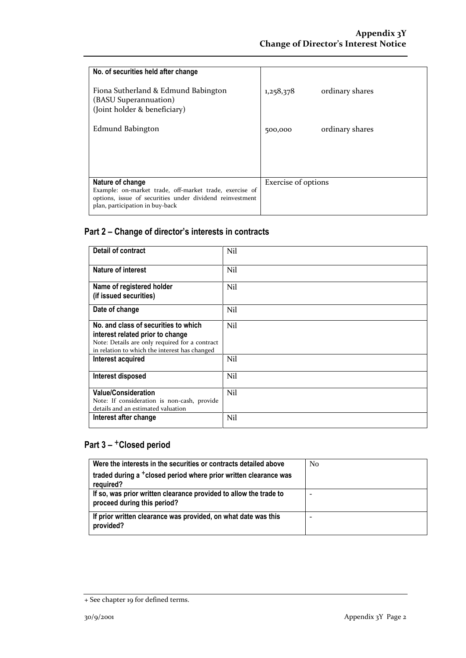| No. of securities held after change<br>Fiona Sutherland & Edmund Babington<br>(BASU Superannuation)                                                                        | 1,258,378                  | ordinary shares |
|----------------------------------------------------------------------------------------------------------------------------------------------------------------------------|----------------------------|-----------------|
| (Joint holder & beneficiary)<br>Edmund Babington                                                                                                                           | 500,000                    | ordinary shares |
|                                                                                                                                                                            |                            |                 |
|                                                                                                                                                                            |                            |                 |
| Nature of change<br>Example: on-market trade, off-market trade, exercise of<br>options, issue of securities under dividend reinvestment<br>plan, participation in buy-back | <b>Exercise</b> of options |                 |

| <b>Detail of contract</b>                                                                                                                                                   | Nil |
|-----------------------------------------------------------------------------------------------------------------------------------------------------------------------------|-----|
| Nature of interest                                                                                                                                                          | Nil |
| Name of registered holder<br>(if issued securities)                                                                                                                         | Nil |
| Date of change                                                                                                                                                              | Nil |
| No. and class of securities to which<br>interest related prior to change<br>Note: Details are only required for a contract<br>in relation to which the interest has changed | Nil |
| Interest acquired                                                                                                                                                           | Nil |
| Interest disposed                                                                                                                                                           | Nil |
| <b>Value/Consideration</b><br>Note: If consideration is non-cash, provide<br>details and an estimated valuation                                                             | Nil |
| Interest after change                                                                                                                                                       | Nil |

| Were the interests in the securities or contracts detailed above                                 | N <sub>0</sub> |
|--------------------------------------------------------------------------------------------------|----------------|
| traded during a <sup>+</sup> closed period where prior written clearance was<br>required?        |                |
| If so, was prior written clearance provided to allow the trade to<br>proceed during this period? |                |
| If prior written clearance was provided, on what date was this<br>provided?                      |                |

<sup>+</sup> See chapter 19 for defined terms.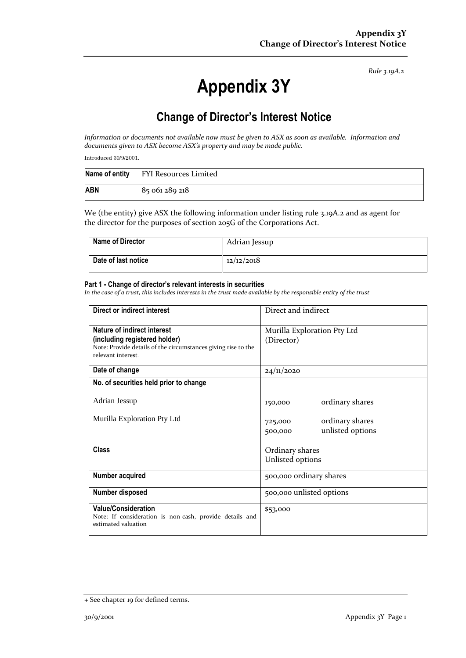# **Appendix 3Y**

## **Change of Director's Interest Notice**

*Information or documents not available now must be given to ASX as soon as available. Information and documents given to ASX become ASX's property and may be made public.*

Introduced 30/9/2001.

| Name of entity | FYI Resources Limited |
|----------------|-----------------------|
| <b>ABN</b>     | 85 061 289 218        |

We (the entity) give ASX the following information under listing rule 3.19A.2 and as agent for the director for the purposes of section 205G of the Corporations Act.

| <b>Name of Director</b> | Adrian Jessup |
|-------------------------|---------------|
| Date of last notice     | 12/12/2018    |

#### **Part 1 - Change of director's relevant interests in securities**

| Direct or indirect interest                                   | Direct and indirect         |  |
|---------------------------------------------------------------|-----------------------------|--|
| Nature of indirect interest                                   | Murilla Exploration Pty Ltd |  |
| (including registered holder)                                 | (Director)                  |  |
| Note: Provide details of the circumstances giving rise to the |                             |  |
| relevant interest.                                            |                             |  |
| Date of change                                                | 24/11/2020                  |  |
| No. of securities held prior to change                        |                             |  |
| Adrian Jessup                                                 | ordinary shares<br>150,000  |  |
|                                                               |                             |  |
| Murilla Exploration Pty Ltd                                   | ordinary shares<br>725,000  |  |
|                                                               | unlisted options<br>500,000 |  |
|                                                               |                             |  |
| <b>Class</b>                                                  | Ordinary shares             |  |
|                                                               | Unlisted options            |  |
| Number acquired                                               | 500,000 ordinary shares     |  |
| Number disposed                                               | 500,000 unlisted options    |  |
| <b>Value/Consideration</b>                                    | \$53,000                    |  |
| Note: If consideration is non-cash, provide details and       |                             |  |
| estimated valuation                                           |                             |  |

<sup>+</sup> See chapter 19 for defined terms.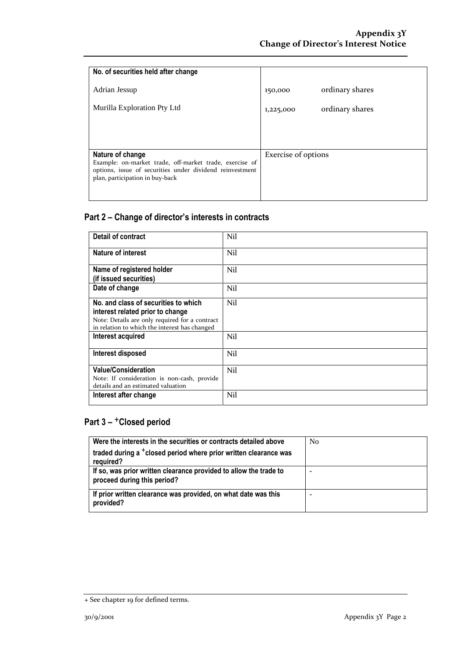| No. of securities held after change                                                                                                                                        |                     |                 |
|----------------------------------------------------------------------------------------------------------------------------------------------------------------------------|---------------------|-----------------|
| Adrian Jessup                                                                                                                                                              | 150,000             | ordinary shares |
| Murilla Exploration Pty Ltd                                                                                                                                                | 1,225,000           | ordinary shares |
|                                                                                                                                                                            |                     |                 |
| Nature of change<br>Example: on-market trade, off-market trade, exercise of<br>options, issue of securities under dividend reinvestment<br>plan, participation in buy-back | Exercise of options |                 |

| <b>Detail of contract</b>                                                                                       | Nil |
|-----------------------------------------------------------------------------------------------------------------|-----|
| Nature of interest                                                                                              | Nil |
| Name of registered holder                                                                                       | Nil |
| (if issued securities)                                                                                          |     |
| Date of change                                                                                                  | Nil |
| No. and class of securities to which                                                                            | Nil |
| interest related prior to change                                                                                |     |
| Note: Details are only required for a contract<br>in relation to which the interest has changed                 |     |
| Interest acquired                                                                                               | Nil |
| Interest disposed                                                                                               | Nil |
| <b>Value/Consideration</b><br>Note: If consideration is non-cash, provide<br>details and an estimated valuation | Nil |
| Interest after change                                                                                           | Nil |

| Were the interests in the securities or contracts detailed above                                 | N <sub>0</sub> |
|--------------------------------------------------------------------------------------------------|----------------|
| traded during a <sup>+</sup> closed period where prior written clearance was<br>required?        |                |
| If so, was prior written clearance provided to allow the trade to<br>proceed during this period? | -              |
| If prior written clearance was provided, on what date was this<br>provided?                      | -              |

<sup>+</sup> See chapter 19 for defined terms.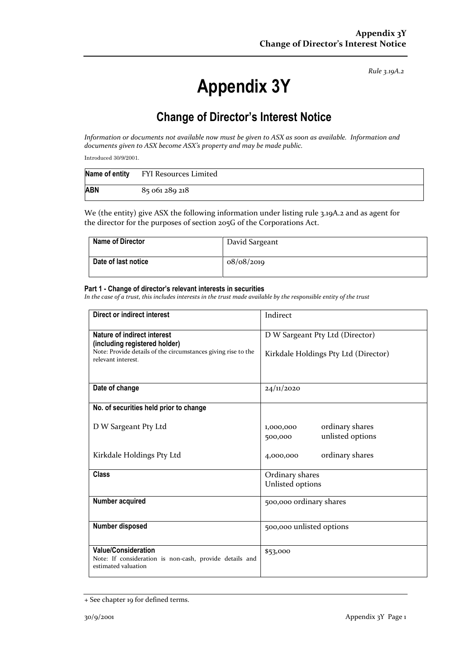# **Appendix 3Y**

## **Change of Director's Interest Notice**

*Information or documents not available now must be given to ASX as soon as available. Information and documents given to ASX become ASX's property and may be made public.*

Introduced 30/9/2001.

| Name of entity | FYI Resources Limited |
|----------------|-----------------------|
| <b>ABN</b>     | 85 061 289 218        |

We (the entity) give ASX the following information under listing rule 3.19A.2 and as agent for the director for the purposes of section 205G of the Corporations Act.

| <b>Name of Director</b> | David Sargeant |
|-------------------------|----------------|
| Date of last notice     | 08/08/2019     |

#### **Part 1 - Change of director's relevant interests in securities**

| Direct or indirect interest                                                                                          | Indirect                                                    |  |
|----------------------------------------------------------------------------------------------------------------------|-------------------------------------------------------------|--|
| Nature of indirect interest                                                                                          | D W Sargeant Pty Ltd (Director)                             |  |
| (including registered holder)<br>Note: Provide details of the circumstances giving rise to the<br>relevant interest. | Kirkdale Holdings Pty Ltd (Director)                        |  |
| Date of change                                                                                                       | 24/11/2020                                                  |  |
| No. of securities held prior to change                                                                               |                                                             |  |
| D W Sargeant Pty Ltd                                                                                                 | ordinary shares<br>1,000,000<br>unlisted options<br>500,000 |  |
| Kirkdale Holdings Pty Ltd                                                                                            | ordinary shares<br>4,000,000                                |  |
| <b>Class</b>                                                                                                         | Ordinary shares                                             |  |
|                                                                                                                      | Unlisted options                                            |  |
| Number acquired                                                                                                      | 500,000 ordinary shares                                     |  |
| Number disposed                                                                                                      | 500,000 unlisted options                                    |  |
| <b>Value/Consideration</b><br>Note: If consideration is non-cash, provide details and<br>estimated valuation         | \$53,000                                                    |  |

<sup>+</sup> See chapter 19 for defined terms.